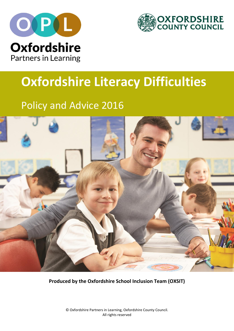



# **Oxfordshire Literacy Difficulties**

## Policy and Advice 2016



**Produced by the Oxfordshire School Inclusion Team (OXSIT)**

© Oxfordshire Partners in Learning, Oxfordshire County Council. All rights reserved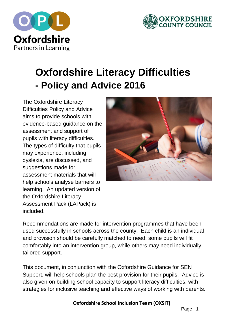



## **Oxfordshire Literacy Difficulties - Policy and Advice 2016**

The Oxfordshire Literacy Difficulties Policy and Advice aims to provide schools with evidence-based guidance on the assessment and support of pupils with literacy difficulties. The types of difficulty that pupils may experience, including dyslexia, are discussed, and suggestions made for assessment materials that will help schools analyse barriers to learning. An updated version of the Oxfordshire Literacy Assessment Pack (LAPack) is included.



Recommendations are made for intervention programmes that have been used successfully in schools across the county. Each child is an individual and provision should be carefully matched to need: some pupils will fit comfortably into an intervention group, while others may need individually tailored support.

This document, in conjunction with the Oxfordshire Guidance for SEN Support, will help schools plan the best provision for their pupils. Advice is also given on building school capacity to support literacy difficulties, with strategies for inclusive teaching and effective ways of working with parents.

**Oxfordshire School Inclusion Team (OXSIT)**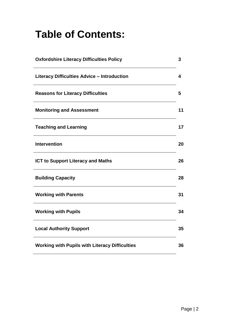## **Table of Contents:**

| <b>Oxfordshire Literacy Difficulties Policy</b>       | 3  |
|-------------------------------------------------------|----|
| <b>Literacy Difficulties Advice - Introduction</b>    | 4  |
| <b>Reasons for Literacy Difficulties</b>              | 5  |
| <b>Monitoring and Assessment</b>                      | 11 |
| <b>Teaching and Learning</b>                          | 17 |
| <b>Intervention</b>                                   | 20 |
| <b>ICT to Support Literacy and Maths</b>              | 26 |
| <b>Building Capacity</b>                              | 28 |
| <b>Working with Parents</b>                           | 31 |
| <b>Working with Pupils</b>                            | 34 |
| <b>Local Authority Support</b>                        | 35 |
| <b>Working with Pupils with Literacy Difficulties</b> | 36 |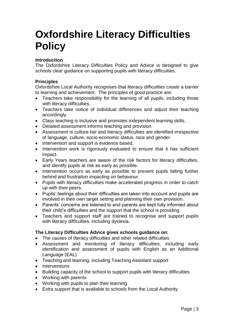## **Oxfordshire Literacy Difficulties Policy**

#### **Introduction**

The Oxfordshire Literacy Difficulties Policy and Advice is designed to give schools clear guidance on supporting pupils with literacy difficulties.

#### **Principles**

Oxfordshire Local Authority recognises that literacy difficulties create a barrier to learning and achievement. The principles of good practice are:

- Teachers take responsibility for the learning of all pupils, including those with literacy difficulties.
- Teachers take notice of individual differences and adjust their teaching accordingly.
- Class teaching is inclusive and promotes independent learning skills.
- Detailed assessment informs teaching and provision.
- Assessment is culture-fair and literacy difficulties are identified irrespective of language, culture, socio-economic status, race and gender.
- Intervention and support is evidence based.
- Intervention work is rigorously evaluated to ensure that it has sufficient impact.
- Early Years teachers are aware of the risk factors for literacy difficulties, and identify pupils at risk as early as possible.
- Intervention occurs as early as possible to prevent pupils falling further behind and frustration impacting on behaviour.
- Pupils with literacy difficulties make accelerated progress in order to catch up with their peers.
- Pupils' feelings about their difficulties are taken into account and pupils are involved in their own target setting and planning their own provision.
- Parents' concerns are listened to and parents are kept fully informed about their child's difficulties and the support that the school is providing.
- Teachers and support staff are trained to recognise and support pupils with literacy difficulties, including dyslexia.

#### **The Literacy Difficulties Advice gives schools guidance on:**

- The causes of literacy difficulties and other related difficulties
- Assessment and monitoring of literacy difficulties, including early identification and assessment of pupils with English as an Additional Language (EAL)
- Teaching and learning, including Teaching Assistant support
- Interventions
- Building capacity of the school to support pupils with literacy difficulties
- Working with parents
- Working with pupils to plan their learning
- Extra support that is available to schools from the Local Authority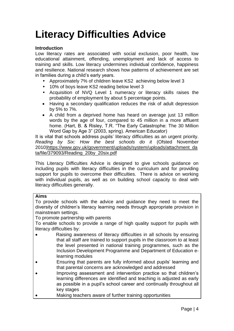## **Literacy Difficulties Advice**

#### **Introduction**

Low literacy rates are associated with social exclusion, poor health, low educational attainment, offending, unemployment and lack of access to training and skills. Low literacy undermines individual confidence, happiness and resilience. National research shows how patterns of achievement are set in families during a child's early years.

- Approximately 7% of children leave KS2 achieving below level 3
- 10% of boys leave KS2 reading below level 3
- Acquisition of NVQ Level 1 numeracy or literacy skills raises the probability of employment by about 5 percentage points.
- Having a secondary qualification reduces the risk of adult depression by 5% to 7%.
- A child from a deprived home has heard on average just 13 million words by the age of four, compared to 45 million in a more affluent home. (Hart, B. & Risley, T.R. "The Early Catastrophe: The 30 Million Word Gap by Age 3" (2003, spring). American Educator)

It is vital that schools address pupils' literacy difficulties as an urgent priority. *Reading by Six: How the best schools do it* (Ofsted November 2010[\)https://www.gov.uk/government/uploads/system/uploads/attachment\\_da](https://www.gov.uk/government/uploads/system/uploads/attachment_data/file/379093/Reading_20by_20six.pdf) [ta/file/379093/Reading\\_20by\\_20six.pdf](https://www.gov.uk/government/uploads/system/uploads/attachment_data/file/379093/Reading_20by_20six.pdf)

This Literacy Difficulties Advice is designed to give schools guidance on including pupils with literacy difficulties in the curriculum and for providing support for pupils to overcome their difficulties. There is advice on working with individual pupils, as well as on building school capacity to deal with literacy difficulties generally.

#### **Aims**

To provide schools with the advice and guidance they need to meet the diversity of children's literacy learning needs through appropriate provision in mainstream settings.

To promote partnership with parents

To enable schools to provide a range of high quality support for pupils with literacy difficulties by:

- Raising awareness of literacy difficulties in all schools by ensuring that all staff are trained to support pupils in the classroom to at least the level presented in national training programmes, such as the Inclusion Development Programme and Department of Education elearning modules
- Ensuring that parents are fully informed about pupils' learning and that parental concerns are acknowledged and addressed
- Improving assessment and intervention practice so that children's learning differences are identified and teaching is adjusted as early as possible in a pupil's school career and continually throughout all key stages
- Making teachers aware of further training opportunities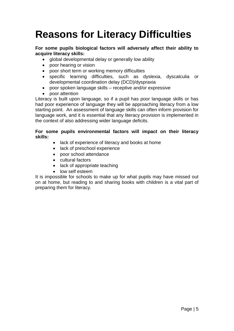## **Reasons for Literacy Difficulties**

#### **For some pupils biological factors will adversely affect their ability to acquire literacy skills:**

- global developmental delay or generally low ability
- poor hearing or vision
- poor short term or working memory difficulties
- specific learning difficulties, such as dyslexia, dyscalculia or developmental coordination delay (DCD)/dyspraxia
- poor spoken language skills receptive and/or expressive
- poor attention

Literacy is built upon language, so if a pupil has poor language skills or has had poor experience of language they will be approaching literacy from a low starting point. An assessment of language skills can often inform provision for language work, and it is essential that any literacy provision is implemented in the context of also addressing wider language deficits.

#### **For some pupils environmental factors will impact on their literacy skills:**

- lack of experience of literacy and books at home
- lack of preschool experience
- poor school attendance
- cultural factors
- lack of appropriate teaching
- low self esteem

It is impossible for schools to make up for what pupils may have missed out on at home, but reading to and sharing books with children is a vital part of preparing them for literacy.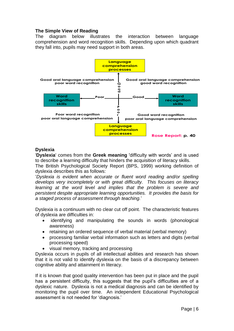#### **The Simple View of Reading**

The diagram below illustrates the interaction between language comprehension and word recognition skills. Depending upon which quadrant they fall into, pupils may need support in both areas.



#### **Dyslexia**

'**Dyslexia**' comes from the **Greek meaning** 'difficulty with words' and is used to describe a learning difficulty that hinders the acquisition of literacy skills.

The British Psychological Society Report (BPS, 1999) working definition of dyslexia describes this as follows:

'*Dyslexia is evident when accurate or fluent word reading and/or spelling develops very incompletely or with great difficulty. This focuses on literacy learning at the word level and implies that the problem is severe and persistent despite appropriate learning opportunities. It provides the basis for a staged process of assessment through teaching.*'

Dyslexia is a continuum with no clear cut off point. The characteristic features of dyslexia are difficulties in:

- identifying and manipulating the sounds in words (phonological awareness)
- retaining an ordered sequence of verbal material (verbal memory)
- processing familiar verbal information such as letters and digits (verbal processing speed)
- visual memory, tracking and processing

Dyslexia occurs in pupils of all intellectual abilities and research has shown that it is not valid to identify dyslexia on the basis of a discrepancy between cognitive ability and attainment in literacy.

If it is known that good quality intervention has been put in place and the pupil has a persistent difficulty, this suggests that the pupil's difficulties are of a dyslexic nature. Dyslexia is not a medical diagnosis and can be identified by monitoring the pupil over time. An independent Educational Psychological assessment is not needed for 'diagnosis.'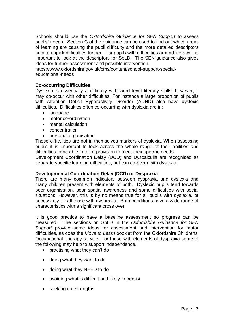Schools should use the *Oxfordshire Guidance for SEN Support* to assess pupils' needs. Section C of the guidance can be used to find out which areas of learning are causing the pupil difficulty and the more detailed descriptors help to unpick difficulties further. For pupils with difficulties around literacy it is important to look at the descriptors for SpLD. The SEN guidance also gives ideas for further assessment and possible intervention.

[https://www.oxfordshire.gov.uk/cms/content/school-support-special](https://www.oxfordshire.gov.uk/cms/content/school-support-special-educational-needs)[educational-needs](https://www.oxfordshire.gov.uk/cms/content/school-support-special-educational-needs)

#### **Co-occurring Difficulties**

Dyslexia is essentially a difficulty with word level literacy skills; however, it may co-occur with other difficulties. For instance a large proportion of pupils with Attention Deficit Hyperactivity Disorder (ADHD) also have dyslexic difficulties. Difficulties often co-occurring with dyslexia are in:

- language
- motor co-ordination
- mental calculation
- concentration
- personal organisation

These difficulties are not in themselves markers of dyslexia. When assessing pupils it is important to look across the whole range of their abilities and difficulties to be able to tailor provision to meet their specific needs.

Development Coordination Delay (DCD) and Dyscalculia are recognised as separate specific learning difficulties, but can co-occur with dyslexia.

#### **Developmental Coordination Delay (DCD) or Dyspraxia**

There are many common indicators between dyspraxia and dyslexia and many children present with elements of both. Dyslexic pupils tend towards poor organisation, poor spatial awareness and some difficulties with social situations. However, this is by no means true for all pupils with dyslexia, or necessarily for all those with dyspraxia. Both conditions have a wide range of characteristics with a significant cross over.

It is good practice to have a baseline assessment so progress can be measured. The sections on SpLD in the *Oxfordshire Guidance for SEN Support* provide some ideas for assessment and intervention for motor difficulties, as does the *Move to Learn* booklet from the Oxfordshire Childrens' Occupational Therapy service. For those with elements of dyspraxia some of the following may help to support independence.

- practising what they can't do
- doing what they want to do
- doing what they NEED to do
- avoiding what is difficult and likely to persist
- seeking out strengths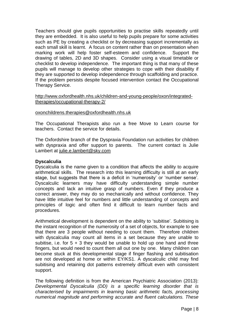Teachers should give pupils opportunities to practise skills repeatedly until they are embedded. It is also useful to help pupils prepare for some activities such as PE by creating a checklist or by decreasing support incrementally as each small skill is learnt. A focus on content rather than on presentation when marking work will help foster self-esteem and confidence. Support the drawing of tables, 2D and 3D shapes. Consider using a visual timetable or checklist to develop independence. The important thing is that many of these pupils will manage to develop other strategies to cope with their disability if they are supported to develop independence through scaffolding and practice. If the problem persists despite focused intervention contact the Occupational Therapy Service.

#### [http://www.oxfordhealth.nhs.uk/children-and-young-people/oxon/integrated](http://www.oxfordhealth.nhs.uk/children-and-young-people/oxon/integrated-therapies/occupational-therapy-2/)[therapies/occupational-therapy-2/](http://www.oxfordhealth.nhs.uk/children-and-young-people/oxon/integrated-therapies/occupational-therapy-2/)

#### [oxonchildrens.therapies@oxfordhealth.nhs.uk](mailto:oxonchildrens.therapies@oxfordhealth.nhs.uk)

The Occupational Therapists also run a free Move to Learn course for teachers. Contact the service for details.

The Oxfordshire branch of the Dyspraxia Foundation run activities for children with dyspraxia and offer support to parents. The current contact is Julie Lambert at [julie.e.lambert@sky.com](mailto:julie.e.lambert@sky.com)

#### **Dyscalculia**

Dyscalculia is the name given to a condition that affects the ability to acquire arithmetical skills. The research into this learning difficulty is still at an early stage, but suggests that there is a deficit in 'numerosity' or 'number sense'. Dyscalculic learners may have difficulty understanding simple number concepts and lack an intuitive grasp of numbers. Even if they produce a correct answer, they may do so mechanically and without confidence. They have little intuitive feel for numbers and little understanding of concepts and principles of logic and often find it difficult to learn number facts and procedures.

Arithmetical development is dependent on the ability to 'subitise'. Subitising is the instant recognition of the numerosity of a set of objects, for example to see that there are 3 people without needing to count them. Therefore children with dyscalculia may count all items in a set because they are unable to subitise, i.e. for  $5 + 3$  they would be unable to hold up one hand and three fingers, but would need to count them all out one by one. Many children can become stuck at this developmental stage if finger flashing and subitisation are not developed at home or within EY/KS1. A dyscalculic child may find subitising and retaining dot patterns extremely difficult even with consistent support.

The following definition is from the American Psychiatric Association (2013): *Developmental Dyscalculia (DD) is a specific learning disorder that is characterised by impairments in learning basic arithmetic facts, processing numerical magnitude and performing accurate and fluent calculations. These*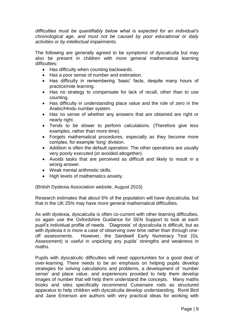*difficulties must be quantifiably below what is expected for an individual's chronological age, and must not be caused by poor educational or daily activities or by intellectual impairments.*

The following are generally agreed to be symptoms of dyscalculia but may also be present in children with more general mathematical learning difficulties:

- Has difficulty when counting backwards.
- Has a poor sense of number and estimation.
- Has difficulty in remembering 'basic' facts, despite many hours of practice/rote learning.
- Has no strategy to compensate for lack of recall, other than to use counting.
- Has difficulty in understanding place value and the role of zero in the Arabic/Hindu number system.
- Has no sense of whether any answers that are obtained are right or nearly right.
- Tends to be slower to perform calculations. (Therefore give less examples, rather than more time).
- Forgets mathematical procedures, especially as they become more complex, for example 'long' division.
- Addition is often the default operation. The other operations are usually very poorly executed (or avoided altogether).
- Avoids tasks that are perceived as difficult and likely to result in a wrong answer.
- Weak mental arithmetic skills.
- High levels of mathematics anxiety.

(British Dyslexia Association website, August 2015)

Research estimates that about 5% of the population will have dyscalculia, but that in the UK 25% may have more general mathematical difficulties.

As with dyslexia, dyscalculia is often co-current with other learning difficulties, so again use the Oxfordshire Guidance for SEN Support to look at each pupil's individual profile of needs. 'Diagnosis' of dyscalculia is difficult, but as with dyslexia it is more a case of observing over time rather than through oneoff assessments. However, the Sandwell Early Numeracy Test (GL Assessment) is useful in unpicking any pupils' strengths and weakness in maths.

Pupils with dyscalculic difficulties will need opportunities for a good deal of over-learning. There needs to be an emphasis on helping pupils develop strategies for solving calculations and problems, a development of 'number sense' and place value, and experiences provided to help them develop images of number that will help them understand the concepts. Many maths books and sites specifically recommend Cuisenaire rods as structured apparatus to help children with dyscalculia develop understanding. Ronit Bird and Jane Emerson are authors with very practical ideas for working with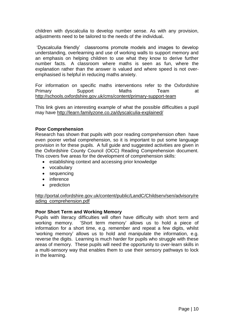children with dyscalculia to develop number sense. As with any provision, adjustments need to be tailored to the needs of the individual**.** 

'Dyscalculia friendly' classrooms promote models and images to develop understanding, overlearning and use of working walls to support memory and an emphasis on helping children to use what they know to derive further number facts. A classroom where maths is seen as fun, where the explanation rather than the answer is valued and where speed is not overemphasised is helpful in reducing maths anxiety.

For information on specific maths interventions refer to the Oxfordshire Primary Support Maths Team at <http://schools.oxfordshire.gov.uk/cms/content/primary-support-team>

This link gives an interesting example of what the possible difficulties a pupil may have <http://learn.familyzone.co.za/dyscalculia-explained/>

#### **Poor Comprehension**

Research has shown that pupils with poor reading comprehension often have even poorer verbal comprehension, so it is important to put some language provision in for these pupils. A full guide and suggested activities are given in the Oxfordshire County Council (OCC) Reading Comprehension document. This covers five areas for the development of comprehension skills:

- establishing context and accessing prior knowledge
- vocabulary
- sequencing
- inference
- prediction

[http://portal.oxfordshire.gov.uk/content/public/LandC/Childserv/sen/advisory/re](http://portal.oxfordshire.gov.uk/content/public/LandC/Childserv/sen/advisory/reading_comprehension.pdf) [ading\\_comprehension.pdf](http://portal.oxfordshire.gov.uk/content/public/LandC/Childserv/sen/advisory/reading_comprehension.pdf)

#### **Poor Short Term and Working Memory**

Pupils with literacy difficulties will often have difficulty with short term and working memory. 'Short term memory' allows us to hold a piece of information for a short time, e.g. remember and repeat a few digits, whilst 'working memory' allows us to hold and manipulate the information, e.g. reverse the digits. Learning is much harder for pupils who struggle with these areas of memory. These pupils will need the opportunity to over-learn skills in a multi-sensory way that enables them to use their sensory pathways to lock in the learning.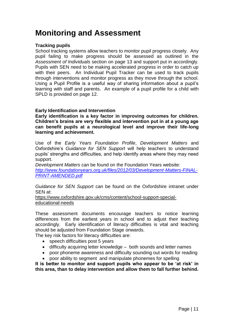### **Monitoring and Assessment**

#### **Tracking pupils**

School tracking systems allow teachers to monitor pupil progress closely. Any pupil failing to make progress should be assessed as outlined in the *Assessment of Individuals* section on page 13 and support put in accordingly. Pupils with SEN need to be making accelerated progress in order to catch up with their peers. An Individual Pupil Tracker can be used to track pupils through interventions and monitor progress as they move through the school. Using a Pupil Profile is a useful way of sharing information about a pupil's learning with staff and parents. An example of a pupil profile for a child with SPLD is provided on page 12.

#### **Early Identification and Intervention**

**Early identification is a key factor in improving outcomes for children. Children's brains are very flexible and intervention put in at a young age can benefit pupils at a neurological level and improve their life-long learning and achievement.**

Use of the *Early Years Foundation Profile*, *Development Matters* and Oxfordshire's *Guidance for SEN Support* will help teachers to understand pupils' strengths and difficulties, and help identify areas where they may need support.

*Development Matters* can be found on the Foundation Years website: *[http://www.foundationyears.org.uk/files/2012/03/Development-Matters-FINAL-](http://www.foundationyears.org.uk/files/2012/03/Development-Matters-FINAL-PRINT-AMENDED.pdf)[PRINT-AMENDED.pdf](http://www.foundationyears.org.uk/files/2012/03/Development-Matters-FINAL-PRINT-AMENDED.pdf)*

*Guidance for SEN Support* can be found on the Oxfordshire intranet under SEN at:

[https://www.oxfordshire.gov.uk/cms/content/school-support-special](https://www.oxfordshire.gov.uk/cms/content/school-support-special-educational-needs)[educational-needs](https://www.oxfordshire.gov.uk/cms/content/school-support-special-educational-needs)

These assessment documents encourage teachers to notice learning differences from the earliest years in school and to adjust their teaching accordingly. Early identification of literacy difficulties is vital and teaching should be adjusted from Foundation Stage onwards.

The key risk factors for literacy difficulties are:

- speech difficulties post 5 years
- difficulty acquiring letter knowledge both sounds and letter names
- poor phoneme awareness and difficulty sounding out words for reading
- poor ability to segment and manipulate phonemes for spelling

**It is better to monitor and support pupils who appear to be 'at risk' in this area, than to delay intervention and allow them to fall further behind.**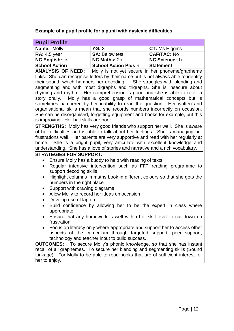#### **Example of a pupil profile for a pupil with dyslexic difficulties**

| <b>Name: Molly</b><br>$\mathsf{C}$ T: Ms Higgins<br>YG: 3<br><b>CAF/TAC: No</b><br><b>RA:</b> 4.5 year<br><b>SA: Below test</b><br><b>NC English: Ic</b><br><b>NC Science: 1a</b><br><b>NC Maths: 2b</b> | <b>Pupil Profile</b> |  |
|----------------------------------------------------------------------------------------------------------------------------------------------------------------------------------------------------------|----------------------|--|
|                                                                                                                                                                                                          |                      |  |
|                                                                                                                                                                                                          |                      |  |
|                                                                                                                                                                                                          |                      |  |
| <b>School Action</b><br><b>School Action Plus</b> √<br><b>Statement</b>                                                                                                                                  |                      |  |

**ANALYSIS OF NEED:** Molly is not yet secure in her phoneme/grapheme links. She can recognise letters by their name but is not always able to identify their sound, which hampers her decoding. She struggles with blending and segmenting and with most digraphs and trigraphs. She is insecure about rhyming and rhythm. Her comprehension is good and she is able to retell a story orally. Molly has a good grasp of mathematical concepts but is sometimes hampered by her inability to read the question. Her written and organisational skills mean that she records numbers incorrectly on occasion. She can be disorganised, forgetting equipment and books for example, but this is improving. Her ball skills are poor.

**STRENGTHS:** Molly has very good friends who support her well. She is aware of her difficulties and is able to talk about her feelings. She is managing her frustrations well. Her parents are very supportive and read with her regularly at home. She is a bright pupil, very articulate with excellent knowledge and understanding. She has a love of stories and narrative and a rich vocabulary.

#### **STRATEGIES FOR SUPPORT:**

- Ensure Molly has a buddy to help with reading of texts
- Regular intensive intervention such as FFT reading programme to support decoding skills
- Highlight columns in maths book in different colours so that she gets the numbers in the right place
- Support with drawing diagrams
- Allow Molly to record her ideas on occasion
- Develop use of laptop
- Build confidence by allowing her to be the expert in class where appropriate
- Ensure that any homework is well within her skill level to cut down on frustration
- Focus on literacy only where appropriate and support her to access other aspects of the curriculum through targeted support, peer support, technology and teacher input to build success.

**OUTCOMES:** To secure Molly's phonic knowledge, so that she has instant recall of all graphemes. To secure her blending and segmenting skills (Sound Linkage). For Molly to be able to read books that are of sufficient interest for her to enjoy.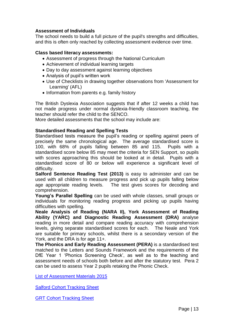#### **Assessment of Individuals**

The school needs to build a full picture of the pupil's strengths and difficulties, and this is often only reached by collecting assessment evidence over time.

#### **Class based literacy assessments:**

- Assessment of progress through the National Curriculum
- Achievement of individual learning targets
- Day to day assessment against learning objectives
- Analysis of pupil's written work
- Use of Checklists in drawing together observations from 'Assessment for Learning' (AFL)
- Information from parents e.g. family history

The British Dyslexia Association suggests that if after 12 weeks a child has not made progress under normal dyslexia-friendly classroom teaching, the teacher should refer the child to the SENCO.

More detailed assessments that the school may include are:

#### **Standardised Reading and Spelling Tests**

Standardised tests measure the pupil's reading or spelling against peers of precisely the same chronological age. The average standardised score is 100, with 68% of pupils falling between 85 and 115. Pupils with a standardised score below 85 may meet the criteria for SEN Support, so pupils with scores approaching this should be looked at in detail. Pupils with a standardised score of 80 or below will experience a significant level of difficulty.

**Salford Sentence Reading Test (2013)** is easy to administer and can be used with all children to measure progress and pick up pupils falling below age appropriate reading levels. The test gives scores for decoding and comprehension.

**Young's Parallel Spelling** can be used with whole classes, small groups or individuals for monitoring reading progress and picking up pupils having difficulties with spelling.

**Neale Analysis of Reading (NARA II), York Assessment of Reading Ability (YARC) and Diagnostic Reading Assessment (DRA)** analyse reading in more detail and compare reading accuracy with comprehension levels, giving separate standardised scores for each. The Neale and York are suitable for primary schools, whilst there is a secondary version of the York, and the DRA is for age 11+.

**The Phonics and Early Reading Assessment (PERA)** is a standardised test matched to the Letters and Sounds Framework and the requirements of the DfE Year 1 'Phonics Screening Check', as well as to the teaching and assessment needs of schools both before and after the statutory test. Pera 2 can be used to assess Year 2 pupils retaking the Phonic Check.

[List of Assessment Materials 2015](Literacy%20Difficulties%20Policy%20and%20Advice%202015%20whole.doc)

Salford Cohort Tracking Sheet

GRT Cohort Tracking Sheet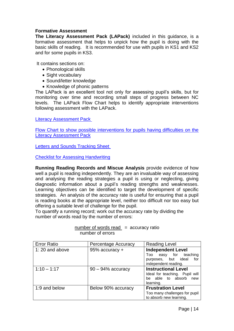#### **Formative Assessment**

**The Literacy Assessment Pack (LAPack)** included in this guidance, is a formative assessment that helps to unpick how the pupil is doing with the basic skills of reading. It is recommended for use with pupils in KS1 and KS2 and for some pupils in KS3.

It contains sections on:

- Phonological skills
- Sight vocabulary
- Sound/letter knowledge
- Knowledge of phonic patterns

The LAPack is an excellent tool not only for assessing pupil's skills, but for monitoring over time and recording small steps of progress between NC levels. The LAPack Flow Chart helps to identify appropriate interventions following assessment with the LAPack.

Literacy Assessment Pack

Flow Chart to show possible interventions for pupils having difficulties on the Literacy Assessment Pack

Letters and Sounds Tracking Sheet

Checklist for Assessing Handwriting

**Running Reading Records and Miscue Analysis** provide evidence of how well a pupil is reading independently. They are an invaluable way of assessing and analysing the reading strategies a pupil is using or neglecting, giving diagnostic information about a pupil's reading strengths and weaknesses. Learning objectives can be identified to target the development of specific strategies. An analysis of the accuracy rate is useful for ensuring that a pupil is reading books at the appropriate level, neither too difficult nor too easy but offering a suitable level of challenge for the pupil.

To quantify a running record; work out the accuracy rate by dividing the number of words read by the number of errors:

| <b>Error Ratio</b> | Percentage Accuracy  | <b>Reading Level</b>                                                        |
|--------------------|----------------------|-----------------------------------------------------------------------------|
| 1:20 and above     | 95% accuracy +       | <b>Independent Level</b>                                                    |
|                    |                      | Too easy for teaching<br>purposes, but ideal<br>for<br>independent reading. |
| $1:10 - 1:17$      | $90 - 94\%$ accuracy | <b>Instructional Level</b>                                                  |
|                    |                      | Ideal for teaching. Pupil will                                              |
|                    |                      | be able to absorb<br>new<br>learning.                                       |
| 1:9 and below      | Below 90% accuracy   | <b>Frustration Level</b>                                                    |
|                    |                      | Too many challenges for pupil                                               |
|                    |                      | to absorb new learning.                                                     |

#### $number of words read = accuracy ratio$ number of errors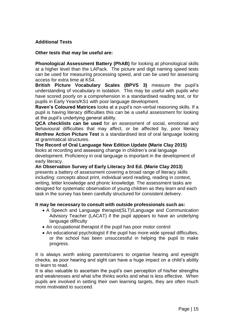#### **Additional Tests**

#### **Other tests that may be useful are:**

**Phonological Assessment Battery (PhAB)** for looking at phonological skills at a higher level than the LAPack. The picture and digit naming speed tests can be used for measuring processing speed, and can be used for assessing access for extra time at KS4.

**British Picture Vocabulary Scales (BPVS 3)** measure the pupil's understanding of vocabulary in isolation. This may be useful with pupils who have scored poorly on a comprehension in a standardised reading test, or for pupils in Early Years/KS1 with poor language development.

**Raven's Coloured Matrices** looks at a pupil's non-verbal reasoning skills. If a pupil is having literacy difficulties this can be a useful assessment for looking at the pupil's underlying general ability.

**QCA checklists can be used** for an assessment of social, emotional and behavioural difficulties that may affect, or be affected by, poor literacy **Renfrew Action Picture Test** is a standardised test of oral language looking at grammatical structures.

**The Record of Oral Language New Edition Update (Marie Clay 2015) l**ooks at recording and assessing change in children's oral language development. Proficiency in oral language is important in the development of early literacy.

**An Observation Survey of Early Literacy 3rd Ed. (Marie Clay 2013)** presents a battery of assessment covering a broad range of literacy skills including: concepts about print, individual word reading, reading in context, writing, letter knowledge and phonic knowledge. The assessment tasks are designed for systematic observation of young children as they learn and each task in the survey has been carefully structured for consistent delivery.

#### **It may be necessary to consult with outside professionals such as:**

- A Speech and Language therapist(SLT)/Language and Communication Advisory Teacher (LACAT) if the pupil appears to have an underlying language difficulty
- An occupational therapist if the pupil has poor motor control
- An educational psychologist if the pupil has more wide spread difficulties, or the school has been unsuccessful in helping the pupil to make progress.

It is always worth asking parents/carers to organise hearing and eyesight checks, as poor hearing and sight can have a huge impact on a child's ability to learn to read.

It is also valuable to ascertain the pupil's own perception of his/her strengths and weaknesses and what s/he thinks works and what is less effective. When pupils are involved in setting their own learning targets, they are often much more motivated to succeed.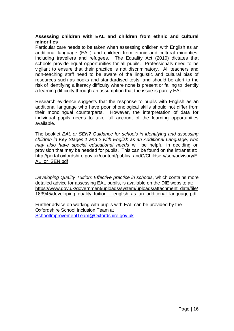#### **Assessing children with EAL and children from ethnic and cultural minorities**

Particular care needs to be taken when assessing children with English as an additional language (EAL) and children from ethnic and cultural minorities, including travellers and refugees. The Equality Act (2010) dictates that schools provide equal opportunities for all pupils. Professionals need to be vigilant to ensure that their practice is not discriminatory. All teachers and non-teaching staff need to be aware of the linguistic and cultural bias of resources such as books and standardised tests, and should be alert to the risk of identifying a literacy difficulty where none is present or failing to identify a learning difficulty through an assumption that the issue is purely EAL.

Research evidence suggests that the response to pupils with English as an additional language who have poor phonological skills should not differ from their monolingual counterparts. However, the interpretation of data for individual pupils needs to take full account of the learning opportunities available.

The booklet *EAL or SEN? Guidance for schools in identifying and assessing children in Key Stages 1 and 2 with English as an Additional Language, who may also have special educational needs* will be helpful in deciding on provision that may be needed for pupils. This can be found on the intranet at: [http://portal.oxfordshire.gov.uk/content/public/LandC/Childserv/sen/advisory/E](http://portal.oxfordshire.gov.uk/content/public/LandC/Childserv/sen/advisory/EAL_or_SEN.pdf) [AL\\_or\\_SEN.pdf](http://portal.oxfordshire.gov.uk/content/public/LandC/Childserv/sen/advisory/EAL_or_SEN.pdf) 

*Developing Quality Tuition: Effective practice in schools*, which contains more detailed advice for assessing EAL pupils, is available on the DfE website at: [https://www.gov.uk/government/uploads/system/uploads/attachment\\_data/file/](https://www.gov.uk/government/uploads/system/uploads/attachment_data/file/183945/developing_quality_tuition_-_english_as_an_additional_language.pdf) [183945/developing\\_quality\\_tuition\\_-\\_english\\_as\\_an\\_additional\\_language.pdf](https://www.gov.uk/government/uploads/system/uploads/attachment_data/file/183945/developing_quality_tuition_-_english_as_an_additional_language.pdf)

Further advice on working with pupils with EAL can be provided by the Oxfordshire School Inclusion Team at [SchoolImprovementTeam@Oxfordshire.gov.uk](mailto:SchoolImprovementTeam@Oxfordshire.gov.uk)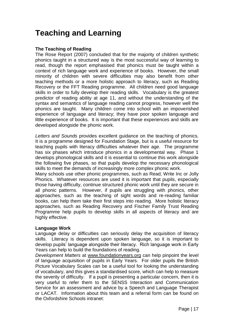### **Teaching and Learning**

#### **The Teaching of Reading**

The Rose Report (2007) concluded that for the majority of children synthetic phonics taught in a structured way is the most successful way of learning to read, though the report emphasised that phonics must be taught within a context of rich language work and experience of books. However, the small minority of children with severe difficulties may also benefit from other teaching methods or a more holistic approach to literacy, such as Reading Recovery or the FFT Reading programme. All children need good language skills in order to fully develop their reading skills. Vocabulary is the greatest predictor of reading ability at age 11, and without the understanding of the syntax and semantics of language reading cannot progress, however well the phonics are taught. Many children come into school with an impoverished experience of language and literacy; they have poor spoken language and little experience of books. It is important that these experiences and skills are developed alongside the phonic work.

*Letters and Sounds* provides excellent guidance on the teaching of phonics. It is a programme designed for Foundation Stage, but is a useful resource for teaching pupils with literacy difficulties whatever their age. The programme has six phases which introduce phonics in a developmental way. Phase 1 develops phonological skills and it is essential to continue this work alongside the following five phases, so that pupils develop the necessary phonological skills to meet the demands of increasingly more complex phonic work.

Many schools use other phonic programmes, such as Read, Write Inc or Jolly Phonics. Whatever resources are used it is important that pupils, especially those having difficulty, continue structured phonic work until they are secure in all phonic patterns. However, if pupils are struggling with phonics, other approaches, such as the teaching of sight words and re-reading familiar books, can help them take their first steps into reading. More holistic literacy approaches, such as Reading Recovery and Fischer Family Trust Reading Programme help pupils to develop skills in all aspects of literacy and are highly effective.

#### **Language Work**

Language delay or difficulties can seriously delay the acquisition of literacy skills. Literacy is dependent upon spoken language, so it is important to develop pupils' language alongside their literacy. Rich language work in Early Years can help to build the foundations of reading.

*Development Matters* at [www.foundationyears.org](http://www.foundationyears.org/) can help pinpoint the level of language acquisition of pupils in Early Years. For older pupils the British Picture Vocabulary Scales can be a useful tool for looking the understanding of vocabulary, and this gives a standardised score, which can help to measure the severity of difficulty. If a pupil is presenting a particular concern, then it is very useful to refer them to the SENSS Interaction and Communication Service for an assessment and advice by a Speech and Language Therapist or LACAT. Information about this team and a referral form can be found on the Oxfordshire Schools intranet: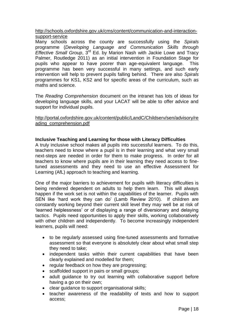[http://schools.oxfordshire.gov.uk/cms/content/communication-and-interaction](http://schools.oxfordshire.gov.uk/cms/content/communication-and-interaction-support-service)[support-service](http://schools.oxfordshire.gov.uk/cms/content/communication-and-interaction-support-service)

Many schools across the county are successfully using the *Spirals* programme (*Developing Language and Communication Skills through Effective Small Group*, 3rd Ed. by Marion Nash with Jackie Lowe and Tracy Palmer, Routledge 2011) as an initial intervention in Foundation Stage for pupils who appear to have poorer than age-equivalent language. This programme has been very successful in many settings, and such early intervention will help to prevent pupils falling behind. There are also *Spirals*  programmes for KS1, KS2 and for specific areas of the curriculum, such as maths and science.

The *Reading Comprehension* document on the intranet has lots of ideas for developing language skills, and your LACAT will be able to offer advice and support for individual pupils.

[http://portal.oxfordshire.gov.uk/content/public/LandC/Childserv/sen/advisory/re](http://portal.oxfordshire.gov.uk/content/public/LandC/Childserv/sen/advisory/reading_comprehension.pdf) [ading\\_comprehension.pdf](http://portal.oxfordshire.gov.uk/content/public/LandC/Childserv/sen/advisory/reading_comprehension.pdf)

#### **Inclusive Teaching and Learning for those with Literacy Difficulties**

A truly inclusive school makes all pupils into successful learners. To do this, teachers need to know where a pupil is in their learning and what very small next-steps are needed in order for them to make progress. In order for all teachers to know where pupils are in their learning they need access to finetuned assessments and they need to use an effective Assessment for Learning (AfL) approach to teaching and learning.

One of the major barriers to achievement for pupils with literacy difficulties is being rendered dependent on adults to help them learn. This will always happen if the work set is not within the capabilities of the learner. Pupils with SEN like 'hard work they can do' (Lamb Review 2010). If children are constantly working beyond their current skill level they may well be at risk of 'learned helplessness' or of displaying a range of diversionary and delaying tactics. Pupils need opportunities to apply their skills, working collaboratively with other children and independently. To become increasingly independent learners, pupils will need:

- to be regularly assessed using fine-tuned assessments and formative assessment so that everyone is absolutely clear about what small step they need to take;
- independent tasks within their current capabilities that have been clearly explained and modelled for them;
- regular feedback on how they are progressing;
- scaffolded support in pairs or small groups;
- adult guidance to try out learning with collaborative support before having a go on their own;
- clear quidance to support organisational skills:
- teacher awareness of the readability of texts and how to support access;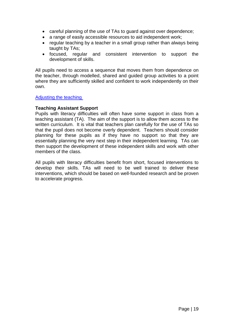- careful planning of the use of TAs to guard against over dependence;
- a range of easily accessible resources to aid independent work;
- regular teaching by a teacher in a small group rather than always being taught by TAs;
- focused, regular and consistent intervention to support the development of skills.

All pupils need to access a sequence that moves them from dependence on the teacher, through modelled, shared and guided group activities to a point where they are sufficiently skilled and confident to work independently on their own.

#### Adjusting the teaching

#### **Teaching Assistant Support**

Pupils with literacy difficulties will often have some support in class from a teaching assistant (TA). The aim of the support is to allow them access to the written curriculum. It is vital that teachers plan carefully for the use of TAs so that the pupil does not become overly dependent. Teachers should consider planning for these pupils as if they have no support so that they are essentially planning the very next step in their independent learning. TAs can then support the development of these independent skills and work with other members of the class.

All pupils with literacy difficulties benefit from short, focused interventions to develop their skills. TAs will need to be well trained to deliver these interventions, which should be based on well-founded research and be proven to accelerate progress.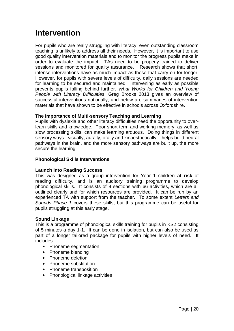### **Intervention**

For pupils who are really struggling with literacy, even outstanding classroom teaching is unlikely to address all their needs. However, it is important to use good quality intervention materials and to monitor the progress pupils make in order to evaluate the impact. TAs need to be properly trained to deliver sessions and monitored for quality assurance. Research shows that short, intense interventions have as much impact as those that carry on for longer. However, for pupils with severe levels of difficulty, daily sessions are needed for learning to be secured and maintained. Intervening as early as possible prevents pupils falling behind further. *What Works for Children and Young People with Literacy Difficulties*, Greg Brooks 2013 gives an overview of successful interventions nationally, and below are summaries of intervention materials that have shown to be effective in schools across Oxfordshire.

#### **The Importance of Multi-sensory Teaching and Learning**

Pupils with dyslexia and other literacy difficulties need the opportunity to overlearn skills and knowledge. Poor short term and working memory, as well as slow processing skills, can make learning arduous. Doing things in different sensory ways - visually, aurally, orally and kinaesthetically – helps build neural pathways in the brain, and the more sensory pathways are built up, the more secure the learning.

#### **Phonological Skills Interventions**

#### **Launch Into Reading Success**

This was designed as a group intervention for Year 1 children **at risk** of reading difficulty, and is an auditory training programme to develop phonological skills. It consists of 9 sections with 66 activities, which are all outlined clearly and for which resources are provided. It can be run by an experienced TA with support from the teacher. To some extent *Letters and Sounds Phase 1* covers these skills, but this programme can be useful for pupils struggling at this early stage.

#### **Sound Linkage**

This is a programme of phonological skills training for pupils in KS2 consisting of 5 minutes a day 1-1. It can be done in isolation, but can also be used as part of a longer tailored package for pupils with higher levels of need. It includes:

- Phoneme segmentation
- Phoneme blending
- Phoneme deletion
- Phoneme substitution
- Phoneme transposition
- Phonological linkage activities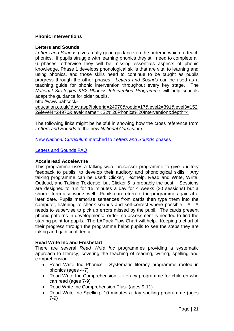#### **Phonic Interventions**

#### **Letters and Sounds**

*Letters and Sounds* gives really good guidance on the order in which to teach phonics. If pupils struggle with learning phonics they still need to complete all 6 phases, otherwise they will be missing essentials aspects of phonic knowledge. Phase 1 develops phonological skills that are vital to learning and using phonics, and those skills need to continue to be taught as pupils progress through the other phases. *Letters and Sounds* can be used as a teaching guide for phonic intervention throughout every key stage. The *National Strategies KS2 Phonics Intervention Programme* will help schools adapt the guidance for older pupils.

[http://www.babcock-](http://www.babcock-education.co.uk/ldp/v.asp?folderid=24970&rootid=17&level2=391&level3=1522&level4=24970&level4name=KS2%20Phonics%20Intervention&depth=4)

[education.co.uk/ldp/v.asp?folderid=24970&rootid=17&level2=391&level3=152](http://www.babcock-education.co.uk/ldp/v.asp?folderid=24970&rootid=17&level2=391&level3=1522&level4=24970&level4name=KS2%20Phonics%20Intervention&depth=4) [2&level4=24970&level4name=KS2%20Phonics%20Intervention&depth=4](http://www.babcock-education.co.uk/ldp/v.asp?folderid=24970&rootid=17&level2=391&level3=1522&level4=24970&level4name=KS2%20Phonics%20Intervention&depth=4)

The following links might be helpful in showing how the cross reference from *Letters and Sounds* to the new *National Curriculum*.

New *National Curriculum* matched to *Letters and Sounds* phases

#### Letters and Sounds FAQ

#### **Acceleread Accelewrite**

This programme uses a talking word processor programme to give auditory feedback to pupils, to develop their auditory and phonological skills. Any talking programme can be used: Clicker, Texthelp, Read and Write, Write: Outloud, and Talking Textease, but Clicker 5 is probably the best. Sessions are designed to run for 15 minutes a day for 4 weeks (20 sessions) but a shorter term also works well. Pupils can return to the programme again at a later date. Pupils memorise sentences from cards then type them into the computer, listening to check sounds and self-correct where possible. A TA needs to supervise to pick up errors missed by the pupil. The cards present phonic patterns in developmental order, so assessment is needed to find the starting point for pupils. The LAPack Flow Chart will help. Keeping a chart of their progress through the programme helps pupils to see the steps they are taking and gain confidence.

#### **Read Write Inc and Freshstart**

There are several *Read Write Inc* programmes providing a systematic approach to literacy, covering the teaching of reading, writing, spelling and comprehension.

- Read Write Inc Phonics Systematic literacy programme rooted in phonics (ages 4-7)
- Read Write Inc Comprehension literacy programme for children who can read (ages 7-9)
- Read Write Inc Comprehension Plus- (ages 9-11)
- Read Write Inc Spelling- 10 minutes a day spelling programme (ages 7-9)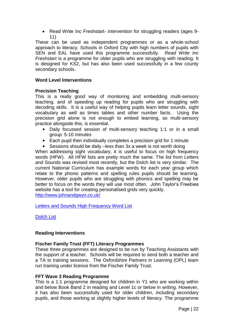• Read Write Inc Freshstart- intervention for struggling readers (ages 9-11)

These can be used as independent programmes or as a whole-school approach to literacy. Schools in Oxford City with high numbers of pupils with SEN and EAL have used this programme successfully. *Read Write Inc Freshstart* is a programme for older pupils who are struggling with reading. It is designed for KS2, but has also been used successfully in a few county secondary schools.

#### **Word Level Interventions**

#### **Precision Teaching**

This is a really good way of monitoring and embedding multi-sensory teaching, and of speeding up reading for pupils who are struggling with decoding skills. It is a useful way of helping pupils learn letter sounds, sight vocabulary as well as times tables and other number facts. Using the precision grid alone is not enough to embed learning, so multi-sensory practice alongside this, is essential.

- Daily focussed session of multi-sensory teaching 1:1 or in a small group: 5-10 minutes
- Each pupil then individually completes a precision grid for 1 minute
- Sessions should be daily –less than 3x a week is not worth doing

When addressing sight vocabulary, it is useful to focus on high frequency words (HFW). All HFW lists are pretty much the same. The list from Letters and Sounds was revised most recently, but the Dolch list is very similar. The current National Curriculum has example words for each year group which relate to the phonic patterns and spelling rules pupils should be learning. However, older pupils who are struggling with phonics and spelling may be better to focus on the words they will use most often. John Taylor's Freebies website has a tool for creating personalised grids very quickly. <http://www.johnandgwyn.co.uk/>

Letters and Sounds High Frequency Word List

Dolch List

#### **Reading Interventions**

#### **Fischer Family Trust (FFT) Literacy Programmes**

These three programmes are designed to be run by Teaching Assistants with the support of a teacher. Schools will be required to send both a teacher and a TA to training sessions. The Oxfordshire Partners in Learning (OPL) team run training under licence from the Fischer Family Trust.

#### **FFT Wave 3 Reading Programme**

This is a 1:1 programme designed for children in Y1 who are working within and below Book Band 2 in reading and Level 1c or below in writing. However, it has also been successfully used for older children, including secondary pupils, and those working at slightly higher levels of literacy. The programme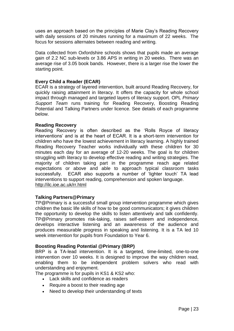uses an approach based on the principles of Marie Clay's Reading Recovery with daily sessions of 20 minutes running for a maximum of 22 weeks. The focus for sessions alternates between reading and writing.

Data collected from Oxfordshire schools shows that pupils made an average gain of 2.2 NC sub-levels or 3.86 APS in writing in 20 weeks. There was an average rise of 3.05 book bands. However, there is a larger rise the lower the starting point.

#### **Every Child a Reader (ECAR)**

ECAR is a strategy of layered intervention, built around Reading Recovery, for quickly raising attainment in literacy. It offers the capacity for whole school impact through managed and targeted layers of literacy support. OPL *Primary Support Team* runs training for Reading Recovery, Boosting Reading Potential and Talking Partners under licence. See details of each programme below.

#### **Reading Recovery**

Reading Recovery is often described as the 'Rolls Royce of literacy interventions' and is at the heart of ECAR. It is a short-term intervention for children who have the lowest achievement in literacy learning. A highly trained Reading Recovery Teacher works individually with these children for 30 minutes each day for an average of 12-20 weeks. The goal is for children struggling with literacy to develop effective reading and writing strategies. The majority of children taking part in the programme reach age related expectations or above and able to approach typical classroom tasks successfully. ECAR also supports a number of 'lighter touch' TA lead interventions to support reading, comprehension and spoken language. <http://ilc.ioe.ac.uk/rr.html>

#### **Talking Partners@Primary**

TP@Primary is a successful small group intervention programme which gives children the basic life skills of how to be good communicators; it gives children the opportunity to develop the skills to listen attentively and talk confidently. TP@Primary promotes risk-taking, raises self-esteem and independence, develops interactive listening and an awareness of the audience and produces measurable progress in speaking and listening. It is a TA led 10 week intervention for pupils from Foundation to Year 6.

#### **Boosting Reading Potential @Primary (BRP)**

BRP is a TA-lead intervention. It is a targeted, time-limited, one-to-one intervention over 10 weeks. It is designed to improve the way children read, enabling them to be independent problem solvers who read with understanding and enjoyment.

The programme is for pupils in KS1 & KS2 who:

- Lack skills and confidence as readers
- Require a boost to their reading age
- Need to develop their understanding of texts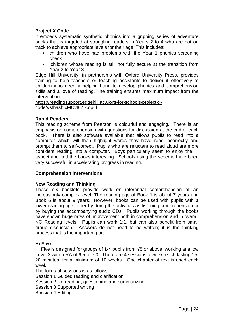#### **Project X Code**

It embeds systematic synthetic phonics into a gripping series of adventure books that is targeted at struggling readers in Years 2 to 4 who are not on track to achieve appropriate levels for their age. This includes:

- children who have had problems with the Year 1 phonics screening check
- children whose reading is still not fully secure at the transition from Year 2 to Year 3

Edge Hill University, in partnership with Oxford University Press, provides training to help teachers or teaching assistants to deliver it effectively to children who need a helping hand to develop phonics and comprehension skills and a love of reading. The training ensures maximum impact from the intervention.

[https://readingsupport.edgehill.ac.uk/rs-for-schools/project-x](https://readingsupport.edgehill.ac.uk/rs-for-schools/project-x-code/#sthash.cMCvI6ZS.dpuf)[code/#sthash.cMCvI6ZS.dpuf](https://readingsupport.edgehill.ac.uk/rs-for-schools/project-x-code/#sthash.cMCvI6ZS.dpuf)

#### **Rapid Readers**

This reading scheme from Pearson is colourful and engaging. There is an emphasis on comprehension with questions for discussion at the end of each book. There is also software available that allows pupils to read into a computer which will then highlight words they have read incorrectly and prompt them to self-correct. Pupils who are reluctant to read aloud are more confident reading into a computer. Boys particularly seem to enjoy the IT aspect and find the books interesting. Schools using the scheme have been very successful in accelerating progress in reading.

#### **Comprehension Interventions**

#### **New Reading and Thinking**

These six booklets provide work on inferential comprehension at an increasingly complex level. The reading age of Book 1 is about 7 years and Book 6 is about 9 years. However, books can be used with pupils with a lower reading age either by doing the activities as listening comprehension or by buying the accompanying audio CDs. Pupils working through the books have shown huge rates of improvement both in comprehension and in overall NC Reading levels. Pupils can work 1:1, but can also benefit from small group discussion. Answers do not need to be written; it is the thinking process that is the important part.

#### **Hi Five**

Hi Five is designed for groups of 1-4 pupils from Y5 or above, working at a low Level 2 with a RA of 6.5 to 7.0. There are 4 sessions a week, each lasting 15- 20 minutes, for a minimum of 10 weeks. One chapter of text is used each week.

The focus of sessions is as follows: Session 1 Guided reading and clarification Session 2 Re-reading, questioning and summarizing Session 3 Supported writing Session 4 Editing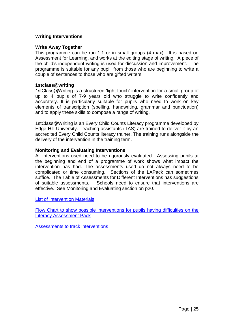#### **Writing Interventions**

#### **Write Away Together**

This programme can be run 1:1 or in small groups (4 max). It is based on Assessment for Learning, and works at the editing stage of writing. A piece of the child's independent writing is used for discussion and improvement. The programme is suitable for any pupil, from those who are beginning to write a couple of sentences to those who are gifted writers.

#### **1stclass@writing**

1stClass@Writing is a structured 'light touch' intervention for a small group of up to 4 pupils of 7-9 years old who struggle to write confidently and accurately. It is particularly suitable for pupils who need to work on key elements of transcription (spelling, handwriting, grammar and punctuation) and to apply these skills to compose a range of writing.

1stClass@Writing is an Every Child Counts Literacy programme developed by Edge Hill University. Teaching assistants (TAS) are trained to deliver it by an accredited Every Child Counts literacy trainer. The training runs alongside the delivery of the intervention in the training term.

#### **Monitoring and Evaluating Interventions**

All interventions used need to be rigorously evaluated. Assessing pupils at the beginning and end of a programme of work shows what impact the intervention has had. The assessments used do not always need to be complicated or time consuming. Sections of the LAPack can sometimes suffice. The Table of Assessments for Different Interventions has suggestions of suitable assessments. Schools need to ensure that interventions are effective. See Monitoring and Evaluating section on p20.

List of Intervention Materials

Flow Chart to show possible interventions for pupils having difficulties on the Literacy Assessment Pack

Assessments to track interventions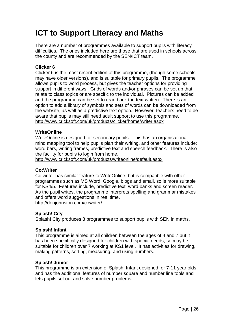## **ICT to Support Literacy and Maths**

There are a number of programmes available to support pupils with literacy difficulties. The ones included here are those that are used in schools across the county and are recommended by the SEN/ICT team.

#### **Clicker 6**

Clicker 6 is the most recent edition of this programme, (though some schools may have older versions), and is suitable for primary pupils. The programme allows pupils to word process, but gives the teacher options for providing support in different ways. Grids of words and/or phrases can be set up that relate to class topics or are specific to the individual. Pictures can be added and the programme can be set to read back the text written. There is an option to add a library of symbols and sets of words can be downloaded from the website, as well as a predictive text option. However, teachers need to be aware that pupils may still need adult support to use this programme. <http://www.cricksoft.com/uk/products/clicker/home/writer.aspx>

#### **WriteOnline**

WriteOnline is designed for secondary pupils. This has an organisational mind mapping tool to help pupils plan their writing, and other features include: word bars, writing frames, predictive text and speech feedback. There is also the facility for pupils to login from home.

<http://www.cricksoft.com/uk/products/writeonline/default.aspx>

#### **Co:Writer**

Co:writer has similar feature to WriteOnline, but is compatible with other programmes such as MS Word, Google, blogs and email, so is more suitable for KS4/5. Features include, predictive text, word banks and screen reader. As the pupil writes, the programme interprets spelling and grammar mistakes and offers word suggestions in real time. <http://donjohnston.com/cowriter/>

#### **Splash! City**

Splash! City produces 3 programmes to support pupils with SEN in maths.

#### **Splash! Infant**

This programme is aimed at all children between the ages of 4 and 7 but it has been specifically designed for children with special needs, so may be suitable for children over 7 working at KS1 level. It has activities for drawing, making patterns, sorting, measuring, and using numbers.

#### **Splash! Junior**

This programme is an extension of Splash! Infant designed for 7-11 year olds, and has the additional features of number square and number line tools and lets pupils set out and solve number problems.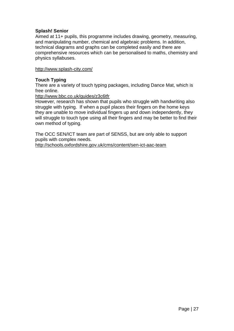#### **Splash! Senior**

Aimed at 11+ pupils, this programme includes drawing, geometry, measuring, and manipulating number, chemical and algebraic problems. In addition, technical diagrams and graphs can be completed easily and there are comprehensive resources which can be personalised to maths, chemistry and physics syllabuses.

<http://www.splash-city.com/>

#### **Touch Typing**

There are a variety of touch typing packages, including Dance Mat, which is free online.

<http://www.bbc.co.uk/guides/z3c6tfr>

However, research has shown that pupils who struggle with handwriting also struggle with typing. If when a pupil places their fingers on the home keys they are unable to move individual fingers up and down independently, they will struggle to touch type using all their fingers and may be better to find their own method of typing.

The OCC SEN/ICT team are part of SENSS, but are only able to support pupils with complex needs. <http://schools.oxfordshire.gov.uk/cms/content/sen-ict-aac-team>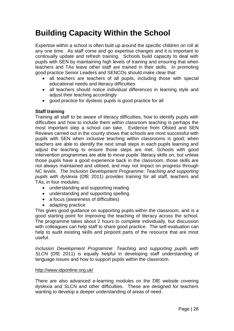### **Building Capacity Within the School**

Expertise within a school is often built up around the specific children on roll at any one time. As staff come and go expertise changes and it is important to continually update and refresh training. Schools build capacity to deal with pupils with SEN by maintaining high levels of training and ensuring that when teachers and TAs leave other staff are trained in their skills. In promoting good practice Senior Leaders and SENCOs should make clear that:

- all teachers are teachers of all pupils, including those with special educational needs and literacy difficulties
- all teachers should notice individual differences in learning style and adjust their teaching accordingly
- good practice for dyslexic pupils is good practice for all

#### **Staff training**

Training all staff to be aware of literacy difficulties, how to identify pupils with difficulties and how to include them within classroom teaching is perhaps the most important step a school can take. Evidence from Ofsted and SEN Reviews carried out in the county shows that schools are most successful with pupils with SEN when inclusive teaching within classrooms is good; when teachers are able to identify the next small steps in each pupils learning and adjust the teaching to ensure those steps are met. Schools with good intervention programmes are able to move pupils' literacy skills on, but unless those pupils have a good experience back in the classroom, those skills are not always maintained and utilised, and may not impact on progress through NC levels. *The Inclusion Development Programme: Teaching and supporting pupils with dyslexia* (DfE 2011) provides training for all staff, teachers and TAs, in four modules:

- understanding and supporting reading
- understanding and supporting spelling
- a focus (awareness of difficulties)
- adapting practice

This gives good guidance on supporting pupils within the classroom, and is a good starting point for improving the teaching of literacy across the school. The programme takes about 2 hours to complete individually, but discussion with colleagues can help staff to share good practice. The self-evaluation can help to audit existing skills and pinpoint parts of the resource that are most useful.

*Inclusion Development Programme: Teaching and supporting pupils with SLCN* (DfE 2011) is equally helpful in developing staff understanding of language issues and how to support pupils within the classroom.

#### <http://www.idponline.org.uk/>

There are also advanced e-learning modules on the DfE website covering dyslexia and SLCN and other difficulties. These are designed for teachers wanting to develop a deeper understanding of areas of need.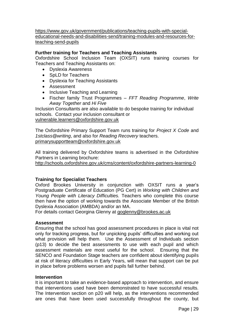[https://www.gov.uk/government/publications/teaching-pupils-with-special](https://www.gov.uk/government/publications/teaching-pupils-with-special-educational-needs-and-disabilities-send/training-modules-and-resources-for-teaching-send-pupils)[educational-needs-and-disabilities-send/training-modules-and-resources-for](https://www.gov.uk/government/publications/teaching-pupils-with-special-educational-needs-and-disabilities-send/training-modules-and-resources-for-teaching-send-pupils)[teaching-send-pupils](https://www.gov.uk/government/publications/teaching-pupils-with-special-educational-needs-and-disabilities-send/training-modules-and-resources-for-teaching-send-pupils)

#### **Further training for Teachers and Teaching Assistants**

Oxfordshire School Inclusion Team (OXSIT) runs training courses for Teachers and Teaching Assistants on:

- Dyslexia Awareness
- SpLD for Teachers
- Dyslexia for Teaching Assistants
- Assessment
- Inclusive Teaching and Learning
- Fischer family Trust Programmes *FFT Reading Programme*, *Write Away Together* and *Hi Five*

Inclusion Consultants are also available to do bespoke training for individual schools. Contact your inclusion consultant or [vulnerable.learners@oxfordshire.gov.uk](mailto:vulnerable.learners@oxfordshire.gov.uk)

The Oxfordshire Primary Support Team runs training for *Project X Code* and *1stclass@writing*, and also for *Reading Recovery* teachers. [primarysupportteam@oxfordshire.gov.uk](mailto:primarysupportteam@oxfordshire.gov.uk)

All training delivered by Oxfordshire teams is advertised in the Oxfordshire Partners in Learning brochure:

<http://schools.oxfordshire.gov.uk/cms/content/oxfordshire-partners-learning-0>

#### **Training for Specialist Teachers**

Oxford Brookes University in conjunction with OXSIT runs a year's Postgraduate Certificate of Education (PG Cert) in *Working with Children and Young People with Literacy Difficulties.* Teachers who complete this course then have the option of working towards the Associate Member of the British Dyslexia Association (AMBDA) and/or an MA.

For details contact Georgina Glenny at [goglenny@brookes.ac.uk](mailto:goglenny@brookes.ac.uk)

#### **Assessment**

Ensuring that the school has good assessment procedures in place is vital not only for tracking progress, but for unpicking pupils' difficulties and working out what provision will help them. Use the Assessment of Individuals section (p13) to decide the best assessments to use with each pupil and which assessment materials are most useful for the school. Ensuring that the SENCO and Foundation Stage teachers are confident about identifying pupils at risk of literacy difficulties in Early Years, will mean that support can be put in place before problems worsen and pupils fall further behind.

#### **Intervention**

It is important to take an evidence-based approach to intervention, and ensure that interventions used have been demonstrated to have successful results. The Intervention section on p20 will help, as the interventions recommended are ones that have been used successfully throughout the county, but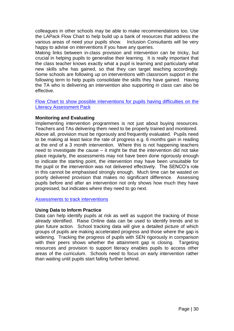colleagues in other schools may be able to make recommendations too. Use the LAPack Flow Chart to help build up a bank of resources that address the various areas of need your pupils show. Inclusion Consultants will be very happy to advise on interventions if you have any queries.

Making links between in-class provision and intervention can be tricky, but crucial in helping pupils to generalise their learning. It is really important that the class teacher knows exactly what a pupil is learning and particularly what new skills s/he has gained, so that they can target teaching accordingly. Some schools are following up on interventions with classroom support in the following term to help pupils consolidate the skills they have gained. Having the TA who is delivering an intervention also supporting in class can also be effective.

Flow Chart to show possible interventions for pupils having difficulties on the Literacy Assessment Pack

#### **Monitoring and Evaluating**

Implementing intervention programmes is not just about buying resources. Teachers and TAs delivering them need to be properly trained and monitored. Above all, provision must be rigorously and frequently evaluated. Pupils need to be making at least twice the rate of progress e.g. 6 months gain in reading at the end of a 3 month intervention. Where this is not happening teachers need to investigate the cause – it might be that the intervention did not take place regularly, the assessments may not have been done rigorously enough to indicate the starting point, the intervention may have been unsuitable for the pupil or the intervention was not delivered effectively. The SENCO's role in this cannot be emphasised strongly enough. Much time can be wasted on poorly delivered provision that makes no significant difference. Assessing pupils before and after an intervention not only shows how much they have progressed, but indicates where they need to go next.

**Assessments to track interventions** 

#### **Using Data to Inform Practice**

Data can help identify pupils at risk as well as support the tracking of those already identified. Raise Online data can be used to identify trends and to plan future action. School tracking data will give a detailed picture of which groups of pupils are making accelerated progress and those where the gap is widening. Tracking the progress of pupils with SEN rigorously in comparison with their peers shows whether the attainment gap is closing. Targeting resources and provision to support literacy enables pupils to access other areas of the curriculum. Schools need to focus on early intervention rather than waiting until pupils start falling further behind.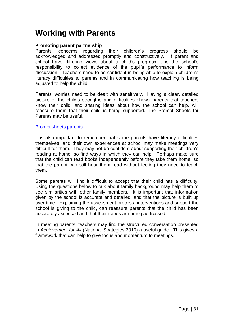### **Working with Parents**

#### **Promoting parent partnership**

Parents' concerns regarding their children's progress should be acknowledged and addressed promptly and constructively. If parent and school have differing views about a child's progress it is the school's responsibility to collect evidence of the pupil's performance to inform discussion. Teachers need to be confident in being able to explain children's literacy difficulties to parents and in communicating how teaching is being adjusted to help the child.

Parents' worries need to be dealt with sensitively. Having a clear, detailed picture of the child's strengths and difficulties shows parents that teachers know their child, and sharing ideas about how the school can help, will reassure them that their child is being supported. The Prompt Sheets for Parents may be useful.

#### Prompt sheets parents

It is also important to remember that some parents have literacy difficulties themselves, and their own experiences at school may make meetings very difficult for them. They may not be confident about supporting their children's reading at home, so find ways in which they can help. Perhaps make sure that the child can read books independently before they take them home, so that the parent can still hear them read without feeling they need to teach them.

Some parents will find it difficult to accept that their child has a difficulty. Using the questions below to talk about family background may help them to see similarities with other family members. It is important that information given by the school is accurate and detailed, and that the picture is built up over time. Explaining the assessment process, interventions and support the school is giving to the child, can reassure parents that the child has been accurately assessed and that their needs are being addressed.

In meeting parents, teachers may find the structured conversation presented in *Achievement for All* (National Strategies 2010) a useful guide. This gives a framework that can help to give focus and momentum to meetings.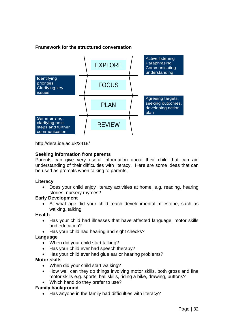#### **Framework for the structured conversation**



<http://dera.ioe.ac.uk/2418/>

#### **Seeking information from parents**

Parents can give very useful information about their child that can aid understanding of their difficulties with literacy. Here are some ideas that can be used as prompts when talking to parents.

#### **Literacy**

 Does your child enjoy literacy activities at home, e.g. reading, hearing stories, nursery rhymes?

#### **Early Development**

 At what age did your child reach developmental milestone, such as walking, talking

#### **Health**

- Has your child had illnesses that have affected language, motor skills and education?
- Has your child had hearing and sight checks?

#### **Language**

- When did your child start talking?
- Has your child ever had speech therapy?
- Has your child ever had glue ear or hearing problems?

#### **Motor skills**

- When did your child start walking?
- How well can they do things involving motor skills, both gross and fine motor skills e.g. sports, ball skills, riding a bike, drawing, buttons?
- Which hand do they prefer to use?

#### **Family background**

• Has anyone in the family had difficulties with literacy?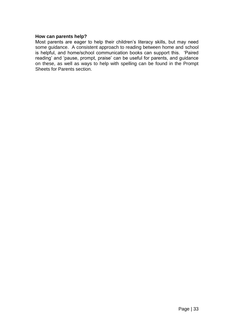#### **How can parents help?**

Most parents are eager to help their children's literacy skills, but may need some guidance. A consistent approach to reading between home and school is helpful, and home/school communication books can support this. 'Paired reading' and 'pause, prompt, praise' can be useful for parents, and guidance on these, as well as ways to help with spelling can be found in the Prompt Sheets for Parents section.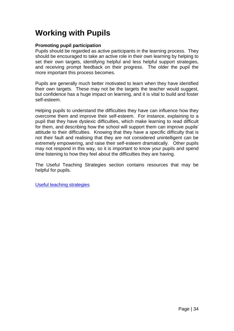### **Working with Pupils**

#### **Promoting pupil participation**

Pupils should be regarded as active participants in the learning process. They should be encouraged to take an active role in their own learning by helping to set their own targets, identifying helpful and less helpful support strategies, and receiving prompt feedback on their progress. The older the pupil the more important this process becomes.

Pupils are generally much better motivated to learn when they have identified their own targets. These may not be the targets the teacher would suggest, but confidence has a huge impact on learning, and it is vital to build and foster self-esteem.

Helping pupils to understand the difficulties they have can influence how they overcome them and improve their self-esteem. For instance, explaining to a pupil that they have dyslexic difficulties, which make learning to read difficult for them, and describing how the school will support them can improve pupils' attitude to their difficulties. Knowing that they have a specific difficulty that is not their fault and realising that they are not considered unintelligent can be extremely empowering, and raise their self-esteem dramatically. Other pupils may not respond in this way, so it is important to know your pupils and spend time listening to how they feel about the difficulties they are having.

The Useful Teaching Strategies section contains resources that may be helpful for pupils.

Useful teaching strategies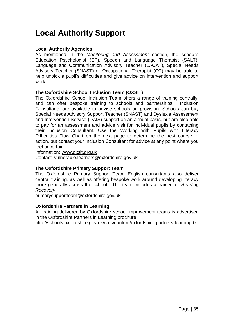## **Local Authority Support**

#### **Local Authority Agencies**

As mentioned in the *Monitoring and Assessment* section, the school's Education Psychologist (EP), Speech and Language Therapist (SALT), Language and Communication Advisory Teacher (LACAT), Special Needs Advisory Teacher (SNAST) or Occupational Therapist (OT) may be able to help unpick a pupil's difficulties and give advice on intervention and support work.

#### **The Oxfordshire School Inclusion Team (OXSIT)**

The Oxfordshire School Inclusion Team offers a range of training centrally, and can offer bespoke training to schools and partnerships. Inclusion Consultants are available to advise schools on provision. Schools can buy Special Needs Advisory Support Teacher (SNAST) and Dyslexia Assessment and Intervention Service (DAIS) support on an annual basis, but are also able to pay for an assessment and advice visit for individual pupils by contacting their Inclusion Consultant. Use the Working with Pupils with Literacy Difficulties Flow Chart on the next page to determine the best course of action, but contact your Inclusion Consultant for advice at any point where you feel uncertain.

Information: [www.oxsit.org.uk](http://www.oxsit.org.uk/)

Contact: [vulnerable.learners@oxfordshire.gov.uk](mailto:vulnerable.learners@oxfordshire.gov.uk)

#### **The Oxfordshire Primary Support Team**

The Oxfordshire Primary Support Team English consultants also deliver central training, as well as offering bespoke work around developing literacy more generally across the school. The team includes a trainer for *Reading Recovery*.

[primarysupportteam@oxfordshire.gov.uk](mailto:primarysupportteam@oxfordshire.gov.uk)

#### **Oxfordshire Partners in Learning**

All training delivered by Oxfordshire school improvement teams is advertised in the Oxfordshire Partners in Learning brochure:

<http://schools.oxfordshire.gov.uk/cms/content/oxfordshire-partners-learning-0>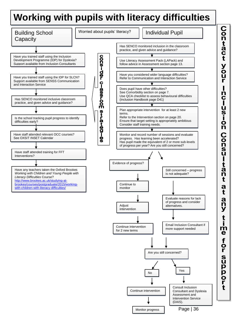## **Working with pupils with literacy difficulties**



Page | 36

(DAIS).

Monitor progress